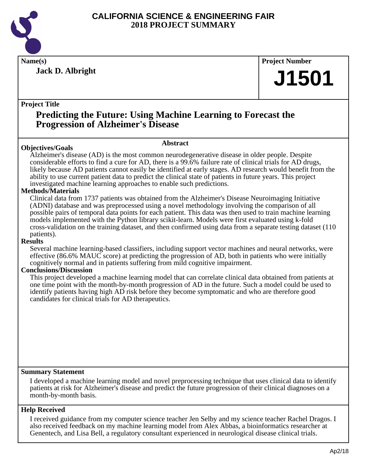

**Jack D. Albright**

**Name(s) Project Number**

# **J1501**

## **Project Title**

## **Predicting the Future: Using Machine Learning to Forecast the Progression of Alzheimer's Disease**

## **Abstract**

**Objectives/Goals** Alzheimer's disease (AD) is the most common neurodegenerative disease in older people. Despite considerable efforts to find a cure for AD, there is a 99.6% failure rate of clinical trials for AD drugs, likely because AD patients cannot easily be identified at early stages. AD research would benefit from the ability to use current patient data to predict the clinical state of patients in future years. This project investigated machine learning approaches to enable such predictions.

## **Methods/Materials**

Clinical data from 1737 patients was obtained from the Alzheimer's Disease Neuroimaging Initiative (ADNI) database and was preprocessed using a novel methodology involving the comparison of all possible pairs of temporal data points for each patient. This data was then used to train machine learning models implemented with the Python library scikit-learn. Models were first evaluated using k-fold cross-validation on the training dataset, and then confirmed using data from a separate testing dataset (110 patients).

## **Results**

Several machine learning-based classifiers, including support vector machines and neural networks, were effective (86.6% MAUC score) at predicting the progression of AD, both in patients who were initially cognitively normal and in patients suffering from mild cognitive impairment.

## **Conclusions/Discussion**

This project developed a machine learning model that can correlate clinical data obtained from patients at one time point with the month-by-month progression of AD in the future. Such a model could be used to identify patients having high AD risk before they become symptomatic and who are therefore good candidates for clinical trials for AD therapeutics.

## **Summary Statement**

I developed a machine learning model and novel preprocessing technique that uses clinical data to identify patients at risk for Alzheimer's disease and predict the future progression of their clinical diagnoses on a month-by-month basis.

## **Help Received**

I received guidance from my computer science teacher Jen Selby and my science teacher Rachel Dragos. I also received feedback on my machine learning model from Alex Abbas, a bioinformatics researcher at Genentech, and Lisa Bell, a regulatory consultant experienced in neurological disease clinical trials.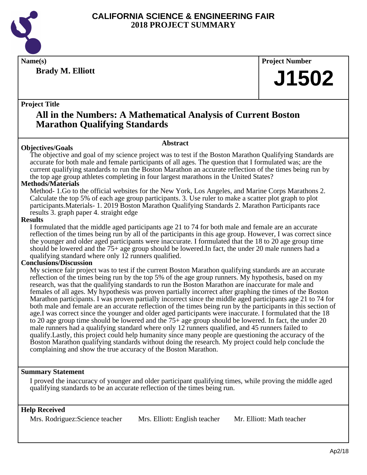

**Brady M. Elliott**

**Name(s) Project Number**

# **J1502**

## **Project Title**

## **All in the Numbers: A Mathematical Analysis of Current Boston Marathon Qualifying Standards**

**Abstract**

## **Objectives/Goals**

The objective and goal of my science project was to test if the Boston Marathon Qualifying Standards are accurate for both male and female participants of all ages. The question that I formulated was; are the current qualifying standards to run the Boston Marathon an accurate reflection of the times being run by the top age group athletes completing in four largest marathons in the United States?

## **Methods/Materials**

Method- 1.Go to the official websites for the New York, Los Angeles, and Marine Corps Marathons 2. Calculate the top 5% of each age group participants. 3. Use ruler to make a scatter plot graph to plot participants.Materials- 1. 2019 Boston Marathon Qualifying Standards 2. Marathon Participants race results 3. graph paper 4. straight edge

## **Results**

I formulated that the middle aged participants age 21 to 74 for both male and female are an accurate reflection of the times being run by all of the participants in this age group. However, I was correct since the younger and older aged participants were inaccurate. I formulated that the 18 to 20 age group time should be lowered and the 75+ age group should be lowered.In fact, the under 20 male runners had a qualifying standard where only 12 runners qualified.

## **Conclusions/Discussion**

My science fair project was to test if the current Boston Marathon qualifying standards are an accurate reflection of the times being run by the top 5% of the age group runners. My hypothesis, based on my research, was that the qualifying standards to run the Boston Marathon are inaccurate for male and females of all ages. My hypothesis was proven partially incorrect after graphing the times of the Boston Marathon participants. I was proven partially incorrect since the middle aged participants age 21 to 74 for both male and female are an accurate reflection of the times being run by the participants in this section of age.I was correct since the younger and older aged participants were inaccurate. I formulated that the 18 to 20 age group time should be lowered and the 75+ age group should be lowered. In fact, the under 20 male runners had a qualifying standard where only 12 runners qualified, and 45 runners failed to qualify.Lastly, this project could help humanity since many people are questioning the accuracy of the Boston Marathon qualifying standards without doing the research. My project could help conclude the complaining and show the true accuracy of the Boston Marathon.

## **Summary Statement**

I proved the inaccuracy of younger and older participant qualifying times, while proving the middle aged qualifying standards to be an accurate reflection of the times being run.

## **Help Received**

Mrs. Rodriguez: Science teacher Mrs. Elliott: English teacher Mr. Elliott: Math teacher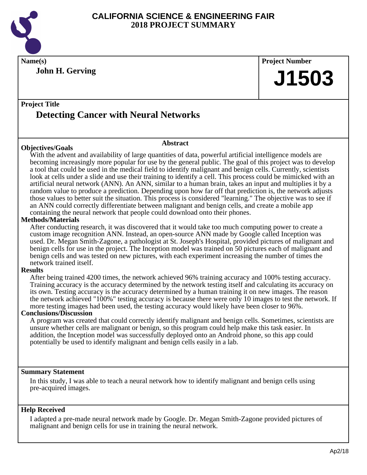

**John H. Gerving**

**Name(s) Project Number**

## **J1503**

## **Project Title Detecting Cancer with Neural Networks**

## **Objectives/Goals**

With the advent and availability of large quantities of data, powerful artificial intelligence models are becoming increasingly more popular for use by the general public. The goal of this project was to develop a tool that could be used in the medical field to identify malignant and benign cells. Currently, scientists look at cells under a slide and use their training to identify a cell. This process could be mimicked with an artificial neural network (ANN). An ANN, similar to a human brain, takes an input and multiplies it by a random value to produce a prediction. Depending upon how far off that prediction is, the network adjusts those values to better suit the situation. This process is considered "learning." The objective was to see if an ANN could correctly differentiate between malignant and benign cells, and create a mobile app containing the neural network that people could download onto their phones.

**Abstract**

## **Methods/Materials**

After conducting research, it was discovered that it would take too much computing power to create a custom image recognition ANN. Instead, an open-source ANN made by Google called Inception was used. Dr. Megan Smith-Zagone, a pathologist at St. Joseph's Hospital, provided pictures of malignant and benign cells for use in the project. The Inception model was trained on 50 pictures each of malignant and benign cells and was tested on new pictures, with each experiment increasing the number of times the network trained itself.

## **Results**

After being trained 4200 times, the network achieved 96% training accuracy and 100% testing accuracy. Training accuracy is the accuracy determined by the network testing itself and calculating its accuracy on its own. Testing accuracy is the accuracy determined by a human training it on new images. The reason the network achieved "100%" testing accuracy is because there were only 10 images to test the network. If more testing images had been used, the testing accuracy would likely have been closer to 96%.

## **Conclusions/Discussion**

A program was created that could correctly identify malignant and benign cells. Sometimes, scientists are unsure whether cells are malignant or benign, so this program could help make this task easier. In addition, the Inception model was successfully deployed onto an Android phone, so this app could potentially be used to identify malignant and benign cells easily in a lab.

## **Summary Statement**

In this study, I was able to teach a neural network how to identify malignant and benign cells using pre-acquired images.

## **Help Received**

I adapted a pre-made neural network made by Google. Dr. Megan Smith-Zagone provided pictures of malignant and benign cells for use in training the neural network.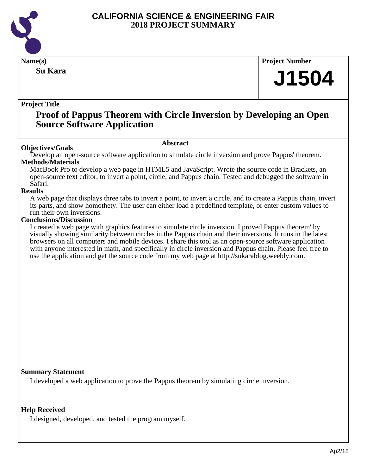

**Name(s) Project Number Project Title Abstract Summary Statement Help Received Su Kara Proof of Pappus Theorem with Circle Inversion by Developing an Open Source Software Application J1504 Objectives/Goals** Develop an open-source software application to simulate circle inversion and prove Pappus' theorem. **Methods/Materials** MacBook Pro to develop a web page in HTML5 and JavaScript. Wrote the source code in Brackets, an open-source text editor, to invert a point, circle, and Pappus chain. Tested and debugged the software in Safari. **Results** A web page that displays three tabs to invert a point, to invert a circle, and to create a Pappus chain, invert its parts, and show homothety. The user can either load a predefined template, or enter custom values to run their own inversions. **Conclusions/Discussion** I created a web page with graphics features to simulate circle inversion. I proved Pappus theorem' by visually showing similarity between circles in the Pappus chain and their inversions. It runs in the latest browsers on all computers and mobile devices. I share this tool as an open-source software application with anyone interested in math, and specifically in circle inversion and Pappus chain. Please feel free to use the application and get the source code from my web page at http://sukarablog.weebly.com. I developed a web application to prove the Pappus theorem by simulating circle inversion. I designed, developed, and tested the program myself.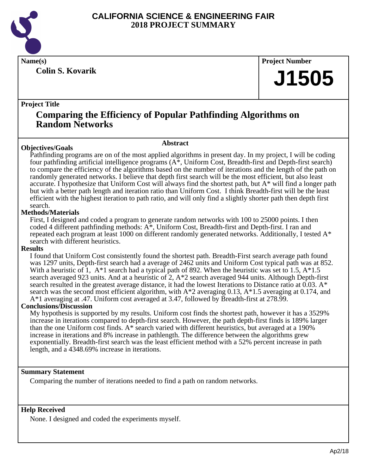

**Colin S. Kovarik**

**Name(s) Project Number**

# **J1505**

## **Project Title**

## **Comparing the Efficiency of Popular Pathfinding Algorithms on Random Networks**

## **Abstract**

**Objectives/Goals** Pathfinding programs are on of the most applied algorithms in present day. In my project, I will be coding four pathfinding artificial intelligence programs (A\*, Uniform Cost, Breadth-first and Depth-first search) to compare the efficiency of the algorithms based on the number of iterations and the length of the path on randomly generated networks. I believe that depth first search will be the most efficient, but also least accurate. I hypothesize that Uniform Cost will always find the shortest path, but A\* will find a longer path but with a better path length and iteration ratio than Uniform Cost. I think Breadth-first will be the least efficient with the highest iteration to path ratio, and will only find a slightly shorter path then depth first search.

## **Methods/Materials**

First, I designed and coded a program to generate random networks with 100 to 25000 points. I then coded 4 different pathfinding methods: A\*, Uniform Cost, Breadth-first and Depth-first. I ran and repeated each program at least 1000 on different randomly generated networks. Additionally, I tested A\* search with different heuristics.

## **Results**

I found that Uniform Cost consistently found the shortest path. Breadth-First search average path found was 1297 units, Depth-first search had a average of 2462 units and Uniform Cost typical path was at 852. With a heuristic of 1,  $A*1$  search had a typical path of 892. When the heuristic was set to 1.5,  $A*1.5$ search averaged 923 units. And at a heuristic of 2, A\*2 search averaged 944 units. Although Depth-first search resulted in the greatest average distance, it had the lowest Iterations to Distance ratio at 0.03. A\* search was the second most efficient algorithm, with A\*2 averaging 0.13, A\*1.5 averaging at 0.174, and A\*1 averaging at .47. Uniform cost averaged at 3.47, followed by Breadth-first at 278.99.

## **Conclusions/Discussion**

My hypothesis is supported by my results. Uniform cost finds the shortest path, however it has a 3529% increase in iterations compared to depth-first search. However, the path depth-first finds is 189% larger than the one Uniform cost finds. A\* search varied with different heuristics, but averaged at a 190% increase in iterations and 8% increase in pathlength. The difference between the algorithms grew exponentially. Breadth-first search was the least efficient method with a 52% percent increase in path length, and a 4348.69% increase in iterations.

## **Summary Statement**

Comparing the number of iterations needed to find a path on random networks.

## **Help Received**

None. I designed and coded the experiments myself.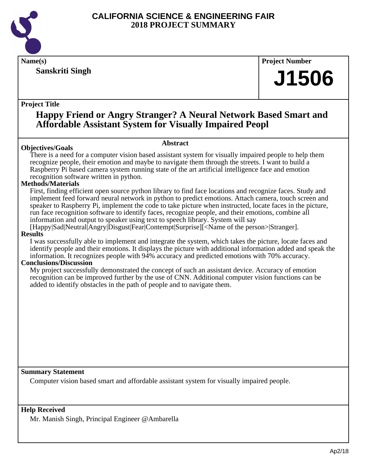

**Sanskriti Singh**

**Name(s) Project Number**

## **J1506**

## **Project Title**

## **Happy Friend or Angry Stranger? A Neural Network Based Smart and Affordable Assistant System for Visually Impaired Peopl**

## **Objectives/Goals**

#### **Abstract**

There is a need for a computer vision based assistant system for visually impaired people to help them recognize people, their emotion and maybe to navigate them through the streets. I want to build a Raspberry Pi based camera system running state of the art artificial intelligence face and emotion recognition software written in python.

## **Methods/Materials**

First, finding efficient open source python library to find face locations and recognize faces. Study and implement feed forward neural network in python to predict emotions. Attach camera, touch screen and speaker to Raspberry Pi, implement the code to take picture when instructed, locate faces in the picture, run face recognition software to identify faces, recognize people, and their emotions, combine all information and output to speaker using text to speech library. System will say

#### [Happy|Sad|Neutral|Angry|Disgust|Fear|Contempt|Surprise][<Name of the person>|Stranger]. **Results**

I was successfully able to implement and integrate the system, which takes the picture, locate faces and identify people and their emotions. It displays the picture with additional information added and speak the information. It recognizes people with 94% accuracy and predicted emotions with 70% accuracy.

## **Conclusions/Discussion**

My project successfully demonstrated the concept of such an assistant device. Accuracy of emotion recognition can be improved further by the use of CNN. Additional computer vision functions can be added to identify obstacles in the path of people and to navigate them.

**Summary Statement**

Computer vision based smart and affordable assistant system for visually impaired people.

## **Help Received**

Mr. Manish Singh, Principal Engineer @Ambarella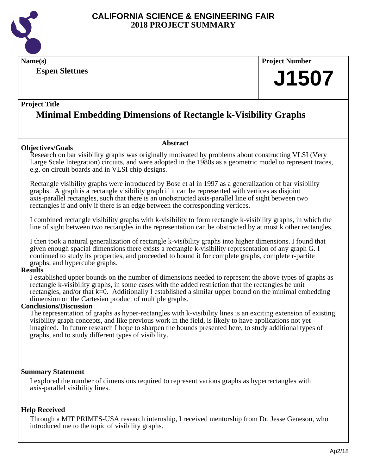

**Espen Slettnes**

## **Name(s) Project Number J1507**

## **Project Title**

## **Minimal Embedding Dimensions of Rectangle k-Visibility Graphs**

## **Objectives/Goals**

## **Abstract**

Research on bar visibility graphs was originally motivated by problems about constructing VLSI (Very Large Scale Integration) circuits, and were adopted in the 1980s as a geometric model to represent traces, e.g. on circuit boards and in VLSI chip designs.

Rectangle visibility graphs were introduced by Bose et al in 1997 as a generalization of bar visibility graphs. A graph is a rectangle visibility graph if it can be represented with vertices as disjoint axis-parallel rectangles, such that there is an unobstructed axis-parallel line of sight between two rectangles if and only if there is an edge between the corresponding vertices.

I combined rectangle visibility graphs with k-visibility to form rectangle k-visibility graphs, in which the line of sight between two rectangles in the representation can be obstructed by at most k other rectangles.

I then took a natural generalization of rectangle k-visibility graphs into higher dimensions. I found that given enough spacial dimensions there exists a rectangle k-visibility representation of any graph G. I continued to study its properties, and proceeded to bound it for complete graphs, complete r-partite graphs, and hypercube graphs.

## **Results**

I established upper bounds on the number of dimensions needed to represent the above types of graphs as rectangle k-visibility graphs, in some cases with the added restriction that the rectangles be unit rectangles, and/or that k=0. Additionally I established a similar upper bound on the minimal embedding dimension on the Cartesian product of multiple graphs.

## **Conclusions/Discussion**

The representation of graphs as hyper-rectangles with k-visibility lines is an exciting extension of existing visibility graph concepts, and like previous work in the field, is likely to have applications not yet imagined. In future research I hope to sharpen the bounds presented here, to study additional types of graphs, and to study different types of visibility.

## **Summary Statement**

I explored the number of dimensions required to represent various graphs as hyperrectangles with axis-parallel visibility lines.

## **Help Received**

Through a MIT PRIMES-USA research internship, I received mentorship from Dr. Jesse Geneson, who introduced me to the topic of visibility graphs.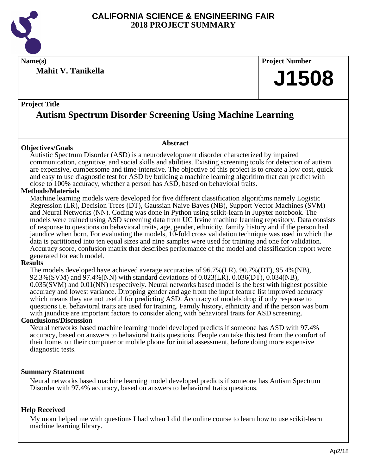

**Name(s) Project Number**

**Mahit V. Tanikella**

## **J1508**

## **Project Title**

## **Autism Spectrum Disorder Screening Using Machine Learning**

## **Objectives/Goals**

Autistic Spectrum Disorder (ASD) is a neurodevelopment disorder characterized by impaired communication, cognitive, and social skills and abilities. Existing screening tools for detection of autism are expensive, cumbersome and time-intensive. The objective of this project is to create a low cost, quick and easy to use diagnostic test for ASD by building a machine learning algorithm that can predict with close to 100% accuracy, whether a person has ASD, based on behavioral traits.

**Abstract**

## **Methods/Materials**

Machine learning models were developed for five different classification algorithms namely Logistic Regression (LR), Decision Trees (DT), Gaussian Naive Bayes (NB), Support Vector Machines (SVM) and Neural Networks (NN). Coding was done in Python using scikit-learn in Jupyter notebook. The models were trained using ASD screening data from UC Irvine machine learning repository. Data consists of response to questions on behavioral traits, age, gender, ethnicity, family history and if the person had jaundice when born. For evaluating the models, 10-fold cross validation technique was used in which the data is partitioned into ten equal sizes and nine samples were used for training and one for validation. Accuracy score, confusion matrix that describes performance of the model and classification report were generated for each model.

## **Results**

The models developed have achieved average accuracies of 96.7%(LR), 90.7%(DT), 95.4%(NB), 92.3%(SVM) and 97.4%(NN) with standard deviations of 0.023(LR), 0.036(DT), 0.034(NB), 0.035(SVM) and 0.01(NN) respectively. Neural networks based model is the best with highest possible accuracy and lowest variance. Dropping gender and age from the input feature list improved accuracy which means they are not useful for predicting ASD. Accuracy of models drop if only response to questions i.e. behavioral traits are used for training. Family history, ethnicity and if the person was born with jaundice are important factors to consider along with behavioral traits for ASD screening.

## **Conclusions/Discussion**

Neural networks based machine learning model developed predicts if someone has ASD with 97.4% accuracy, based on answers to behavioral traits questions. People can take this test from the comfort of their home, on their computer or mobile phone for initial assessment, before doing more expensive diagnostic tests.

## **Summary Statement**

Neural networks based machine learning model developed predicts if someone has Autism Spectrum Disorder with 97.4% accuracy, based on answers to behavioral traits questions.

## **Help Received**

My mom helped me with questions I had when I did the online course to learn how to use scikit-learn machine learning library.